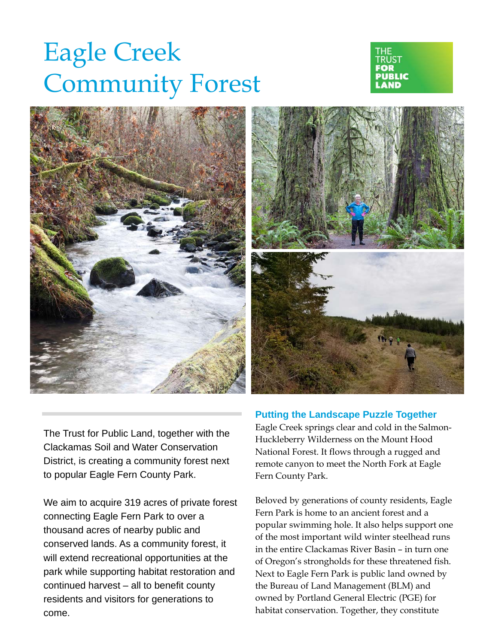## Eagle Creek Community Forest







The Trust for Public Land, together with the Clackamas Soil and Water Conservation District, is creating a community forest next to popular Eagle Fern County Park.

We aim to acquire 319 acres of private forest connecting Eagle Fern Park to over a thousand acres of nearby public and conserved lands. As a community forest, it will extend recreational opportunities at the park while supporting habitat restoration and continued harvest – all to benefit county residents and visitors for generations to come.

## **Putting the Landscape Puzzle Together**

Eagle Creek springs clear and cold in the Salmon-Huckleberry Wilderness on the Mount Hood National Forest. It flows through a rugged and remote canyon to meet the North Fork at Eagle Fern County Park.

Beloved by generations of county residents, Eagle Fern Park is home to an ancient forest and a popular swimming hole. It also helps support one of the most important wild winter steelhead runs in the entire Clackamas River Basin – in turn one of Oregon's strongholds for these threatened fish. Next to Eagle Fern Park is public land owned by the Bureau of Land Management (BLM) and owned by Portland General Electric (PGE) for habitat conservation. Together, they constitute